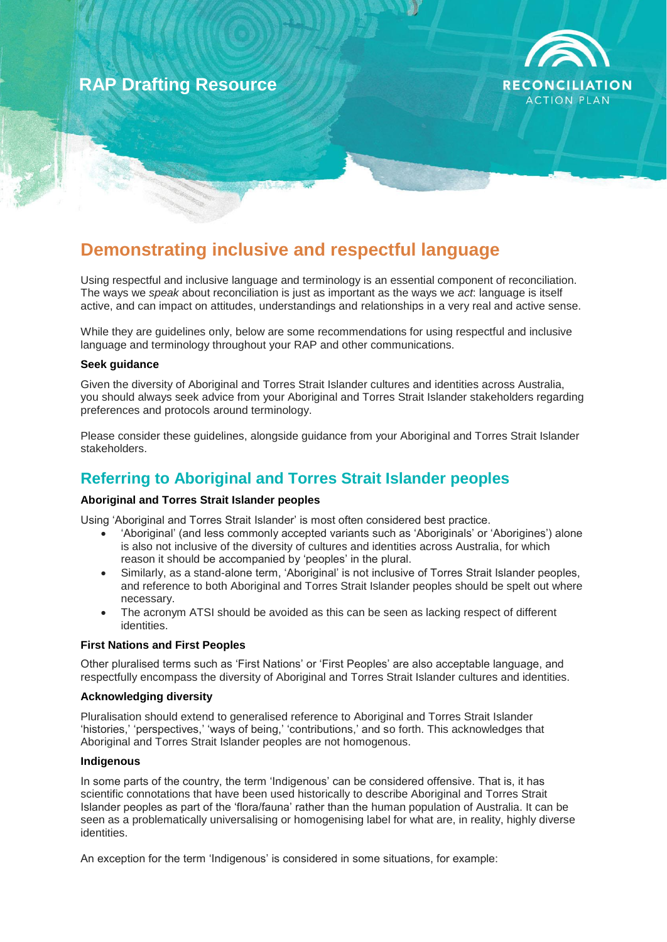# **RAP Drafting Resource**



# **Demonstrating inclusive and respectful language**

Using respectful and inclusive language and terminology is an essential component of reconciliation. The ways we *speak* about reconciliation is just as important as the ways we *act*: language is itself active, and can impact on attitudes, understandings and relationships in a very real and active sense.

While they are guidelines only, below are some recommendations for using respectful and inclusive language and terminology throughout your RAP and other communications.

#### **Seek guidance**

Given the diversity of Aboriginal and Torres Strait Islander cultures and identities across Australia, you should always seek advice from your Aboriginal and Torres Strait Islander stakeholders regarding preferences and protocols around terminology.

Please consider these guidelines, alongside guidance from your Aboriginal and Torres Strait Islander stakeholders.

## **Referring to Aboriginal and Torres Strait Islander peoples**

#### **Aboriginal and Torres Strait Islander peoples**

Using 'Aboriginal and Torres Strait Islander' is most often considered best practice.

- 'Aboriginal' (and less commonly accepted variants such as 'Aboriginals' or 'Aborigines') alone is also not inclusive of the diversity of cultures and identities across Australia, for which reason it should be accompanied by 'peoples' in the plural.
- Similarly, as a stand-alone term, 'Aboriginal' is not inclusive of Torres Strait Islander peoples, and reference to both Aboriginal and Torres Strait Islander peoples should be spelt out where necessary.
- The acronym ATSI should be avoided as this can be seen as lacking respect of different identities.

#### **First Nations and First Peoples**

Other pluralised terms such as 'First Nations' or 'First Peoples' are also acceptable language, and respectfully encompass the diversity of Aboriginal and Torres Strait Islander cultures and identities.

#### **Acknowledging diversity**

Pluralisation should extend to generalised reference to Aboriginal and Torres Strait Islander 'histories,' 'perspectives,' 'ways of being,' 'contributions,' and so forth. This acknowledges that Aboriginal and Torres Strait Islander peoples are not homogenous.

#### **Indigenous**

In some parts of the country, the term 'Indigenous' can be considered offensive. That is, it has scientific connotations that have been used historically to describe Aboriginal and Torres Strait Islander peoples as part of the 'flora/fauna' rather than the human population of Australia. It can be seen as a problematically universalising or homogenising label for what are, in reality, highly diverse identities.

An exception for the term 'Indigenous' is considered in some situations, for example: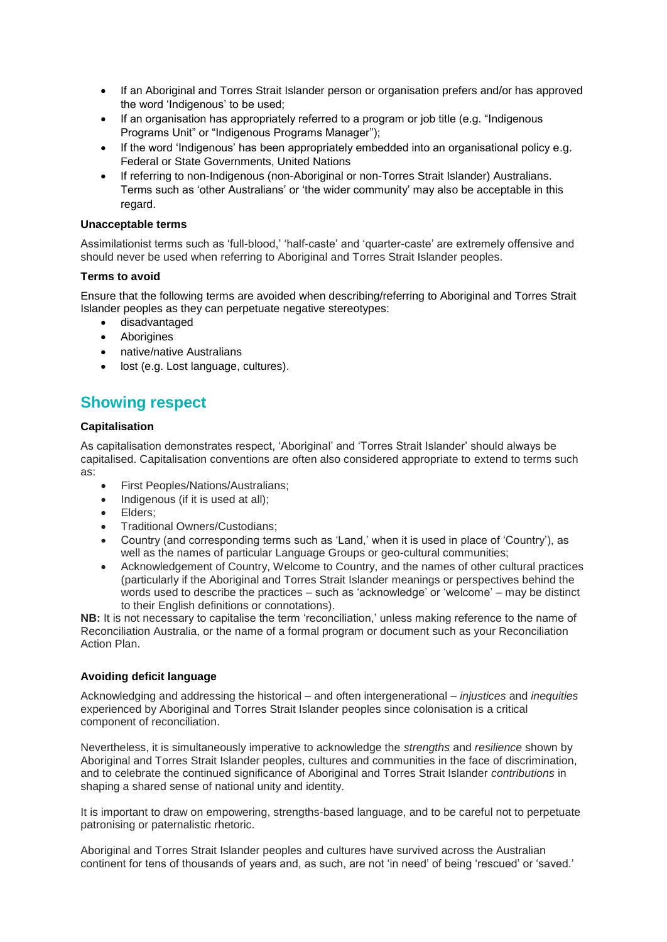- If an Aboriginal and Torres Strait Islander person or organisation prefers and/or has approved the word 'Indigenous' to be used;
- If an organisation has appropriately referred to a program or job title (e.g. "Indigenous Programs Unit" or "Indigenous Programs Manager");
- If the word 'Indigenous' has been appropriately embedded into an organisational policy e.g. Federal or State Governments, United Nations
- If referring to non-Indigenous (non-Aboriginal or non-Torres Strait Islander) Australians. Terms such as 'other Australians' or 'the wider community' may also be acceptable in this regard.

#### **Unacceptable terms**

Assimilationist terms such as 'full-blood,' 'half-caste' and 'quarter-caste' are extremely offensive and should never be used when referring to Aboriginal and Torres Strait Islander peoples.

#### **Terms to avoid**

Ensure that the following terms are avoided when describing/referring to Aboriginal and Torres Strait Islander peoples as they can perpetuate negative stereotypes:

- disadvantaged
- Aborigines
- native/native Australians
- lost (e.g. Lost language, cultures).

### **Showing respect**

#### **Capitalisation**

As capitalisation demonstrates respect, 'Aboriginal' and 'Torres Strait Islander' should always be capitalised. Capitalisation conventions are often also considered appropriate to extend to terms such as:

- First Peoples/Nations/Australians;
- Indigenous (if it is used at all);
- Elders:
- Traditional Owners/Custodians;
- Country (and corresponding terms such as 'Land,' when it is used in place of 'Country'), as well as the names of particular Language Groups or geo-cultural communities;
- Acknowledgement of Country, Welcome to Country, and the names of other cultural practices (particularly if the Aboriginal and Torres Strait Islander meanings or perspectives behind the words used to describe the practices – such as 'acknowledge' or 'welcome' – may be distinct to their English definitions or connotations).

**NB:** It is not necessary to capitalise the term 'reconciliation,' unless making reference to the name of Reconciliation Australia, or the name of a formal program or document such as your Reconciliation Action Plan.

#### **Avoiding deficit language**

Acknowledging and addressing the historical – and often intergenerational – *injustices* and *inequities* experienced by Aboriginal and Torres Strait Islander peoples since colonisation is a critical component of reconciliation.

Nevertheless, it is simultaneously imperative to acknowledge the *strengths* and *resilience* shown by Aboriginal and Torres Strait Islander peoples, cultures and communities in the face of discrimination, and to celebrate the continued significance of Aboriginal and Torres Strait Islander *contributions* in shaping a shared sense of national unity and identity.

It is important to draw on empowering, strengths-based language, and to be careful not to perpetuate patronising or paternalistic rhetoric.

Aboriginal and Torres Strait Islander peoples and cultures have survived across the Australian continent for tens of thousands of years and, as such, are not 'in need' of being 'rescued' or 'saved.'